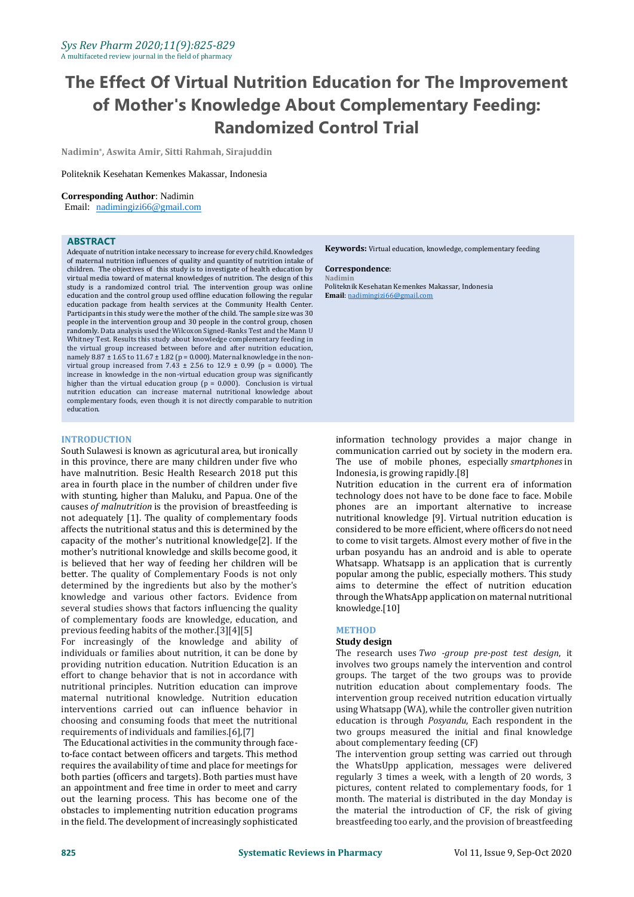# **The Effect Of Virtual Nutrition Education for The Improvement of Mother's Knowledge About Complementary Feeding: Randomized Control Trial**

**Nadimin\* , Aswita Amir, Sitti Rahmah, Sirajuddin**

#### Politeknik Kesehatan Kemenkes Makassar, Indonesia

#### **Corresponding Author**: Nadimin

Email: [nadimingizi66@gmail.com](mailto:nadimingizi66@gmail.com)

#### **ABSTRACT**

Adequate of nutrition intake necessary to increase for every child. Knowledges of maternal nutrition influences of quality and quantity of nutrition intake of children. The objectives of this study is to investigate of health education by virtual media toward of maternal knowledges of nutrition. The design of this study is a randomized control trial. The intervention group was online education and the control group used offline education following the regular education package from health services at the Community Health Center. Participants in this study were the mother of the child. The sample size was 30 people in the intervention group and 30 people in the control group, chosen randomly. Data analysis used the Wilcoxon Signed-Ranks Test and the Mann U Whitney Test. Results this study about knowledge complementary feeding in the virtual group increased between before and after nutrition education, namely  $8.87 \pm 1.65$  to  $11.67 \pm 1.82$  (p = 0.000). Maternal knowledge in the nonvirtual group increased from  $7.43 \pm 2.56$  to  $12.9 \pm 0.99$  (p = 0.000). The increase in knowledge in the non-virtual education group was significantly higher than the virtual education group ( $p = 0.000$ ). Conclusion is virtual nutrition education can increase maternal nutritional knowledge about complementary foods, even though it is not directly comparable to nutrition education.

#### **INTRODUCTION**

South Sulawesi is known as agricutural area, but ironically in this province, there are many children under five who have malnutrition. Besic Health Research 2018 put this area in fourth place in the number of children under five with stunting, higher than Maluku, and Papua. One of the causes *of malnutrition* is the provision of breastfeeding is not adequately [1]. The quality of complementary foods affects the nutritional status and this is determined by the capacity of the mother's nutritional knowledge[2]. If the mother's nutritional knowledge and skills become good, it is believed that her way of feeding her children will be better. The quality of Complementary Foods is not only determined by the ingredients but also by the mother's knowledge and various other factors. Evidence from several studies shows that factors influencing the quality of complementary foods are knowledge, education, and previous feeding habits of the mother.[3][4][5]

For increasingly of the knowledge and ability of individuals or families about nutrition, it can be done by providing nutrition education. Nutrition Education is an effort to change behavior that is not in accordance with nutritional principles. Nutrition education can improve maternal nutritional knowledge. Nutrition education interventions carried out can influence behavior in choosing and consuming foods that meet the nutritional requirements of individuals and families.[6],[7]

The Educational activities in the community through faceto-face contact between officers and targets. This method requires the availability of time and place for meetings for both parties (officers and targets). Both parties must have an appointment and free time in order to meet and carry out the learning process. This has become one of the obstacles to implementing nutrition education programs in the field. The development of increasingly sophisticated **Keywords:** Virtual education, knowledge, complementary feeding

#### **Correspondence**:

**Nadimin** Politeknik Kesehatan Kemenkes Makassar, Indonesia **Email**: [nadimingizi66@gmail.com](mailto:nadimingizi66@gmail.com)

information technology provides a major change in communication carried out by society in the modern era. The use of mobile phones, especially *smartphones* in Indonesia, is growing rapidly.[8]

Nutrition education in the current era of information technology does not have to be done face to face. Mobile phones are an important alternative to increase nutritional knowledge [9]. Virtual nutrition education is considered to be more efficient, where officers do not need to come to visit targets. Almost every mother of five in the urban posyandu has an android and is able to operate Whatsapp. Whatsapp is an application that is currently popular among the public, especially mothers. This study aims to determine the effect of nutrition education through the WhatsApp application on maternal nutritional knowledge.[10]

#### **METHOD**

#### **Study design**

The research uses *Two -group pre-post test design*, it involves two groups namely the intervention and control groups. The target of the two groups was to provide nutrition education about complementary foods. The intervention group received nutrition education virtually using Whatsapp (WA), while the controller given nutrition education is through *Posyandu*, Each respondent in the two groups measured the initial and final knowledge about complementary feeding (CF)

The intervention group setting was carried out through the WhatsUpp application, messages were delivered regularly 3 times a week, with a length of 20 words, 3 pictures, content related to complementary foods, for 1 month. The material is distributed in the day Monday is the material the introduction of CF, the risk of giving breastfeeding too early, and the provision of breastfeeding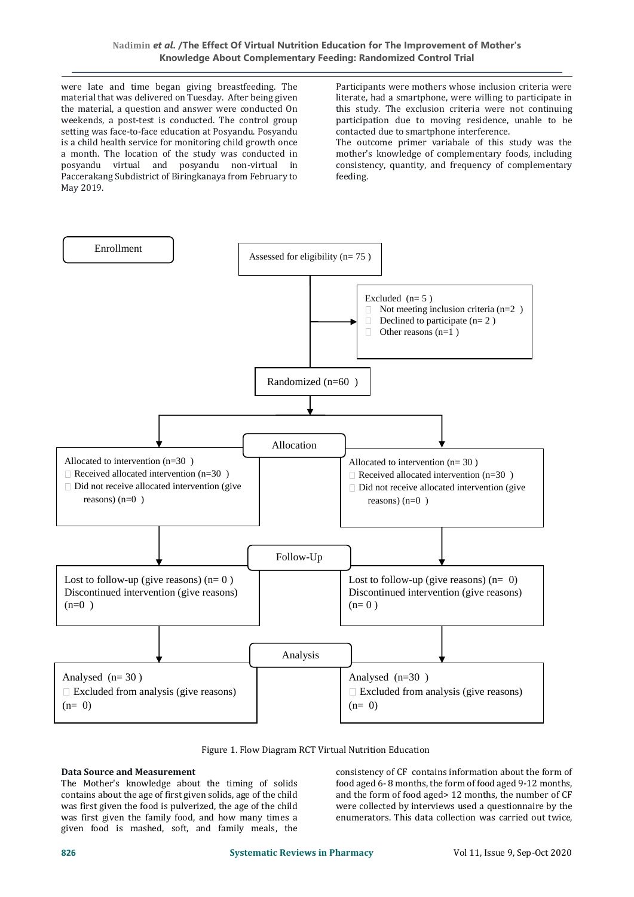were late and time began giving breastfeeding. The material that was delivered on Tuesday. After being given the material, a question and answer were conducted On weekends, a post-test is conducted. The control group setting was face-to-face education at Posyandu. Posyandu is a child health service for monitoring child growth once a month. The location of the study was conducted in posyandu virtual and posyandu non-virtual in Paccerakang Subdistrict of Biringkanaya from February to May 2019.

Participants were mothers whose inclusion criteria were literate, had a smartphone, were willing to participate in this study. The exclusion criteria were not continuing participation due to moving residence, unable to be contacted due to smartphone interference.

The outcome primer variabale of this study was the mother's knowledge of complementary foods, including consistency, quantity, and frequency of complementary feeding.



Figure 1. Flow Diagram RCT Virtual Nutrition Education

## **Data Source and Measurement**

The Mother's knowledge about the timing of solids contains about the age of first given solids, age of the child was first given the food is pulverized, the age of the child was first given the family food, and how many times a given food is mashed, soft, and family meals, the consistency of CF contains information about the form of food aged 6- 8 months, the form of food aged 9-12 months, and the form of food aged> 12 months, the number of CF were collected by interviews used a questionnaire by the enumerators. This data collection was carried out twice,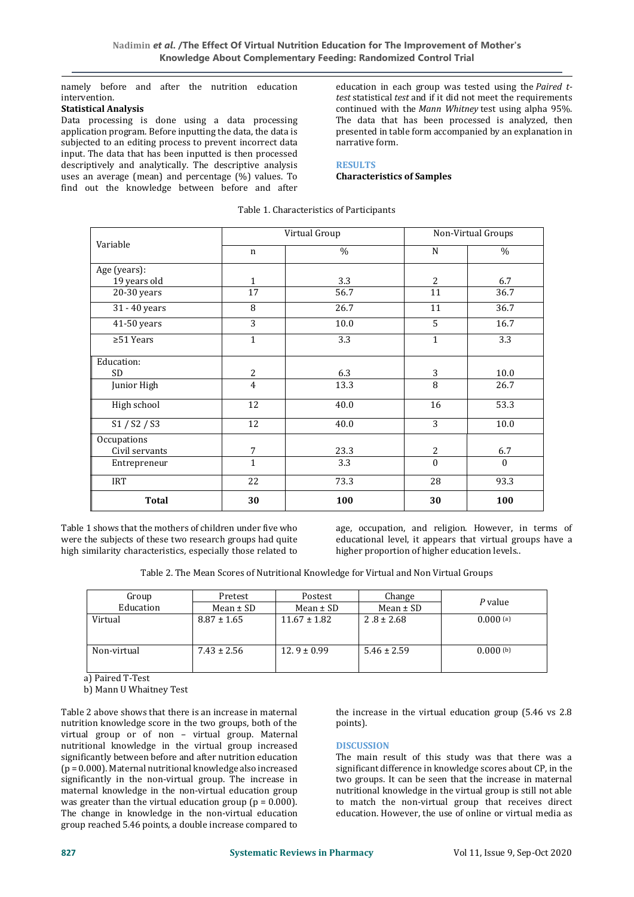namely before and after the nutrition education intervention.

## **Statistical Analysis**

Data processing is done using a data processing application program. Before inputting the data, the data is subjected to an editing process to prevent incorrect data input. The data that has been inputted is then processed descriptively and analytically. The descriptive analysis uses an average (mean) and percentage (%) values. To find out the knowledge between before and after

education in each group was tested using the *Paired ttest* statistical *test* and if it did not meet the requirements continued with the *Mann Whitney* test using alpha 95%. The data that has been processed is analyzed, then presented in table form accompanied by an explanation in narrative form.

## **RESULTS**

**Characteristics of Samples**

| Variable        | Virtual Group  |      | Non-Virtual Groups |          |
|-----------------|----------------|------|--------------------|----------|
|                 | $\mathbf n$    | $\%$ | N                  | $\%$     |
| Age (years):    |                |      |                    |          |
| 19 years old    | $\mathbf{1}$   | 3.3  | $\overline{2}$     | 6.7      |
| 20-30 years     | 17             | 56.7 | 11                 | 36.7     |
| 31 - 40 years   | 8              | 26.7 | 11                 | 36.7     |
| 41-50 years     | $\overline{3}$ | 10.0 | 5                  | 16.7     |
| $\geq 51$ Years | $\mathbf{1}$   | 3.3  | $\mathbf{1}$       | 3.3      |
| Education:      |                |      |                    |          |
| <b>SD</b>       | $\overline{2}$ | 6.3  | 3                  | 10.0     |
| Junior High     | $\overline{4}$ | 13.3 | 8                  | 26.7     |
| High school     | 12             | 40.0 | 16                 | 53.3     |
| S1 / S2 / S3    | 12             | 40.0 | 3                  | 10.0     |
| Occupations     |                |      |                    |          |
| Civil servants  | 7              | 23.3 | 2                  | 6.7      |
| Entrepreneur    | $\mathbf{1}$   | 3.3  | $\theta$           | $\theta$ |
| <b>IRT</b>      | 22             | 73.3 | 28                 | 93.3     |
| <b>Total</b>    | 30             | 100  | 30                 | 100      |

## Table 1. Characteristics of Participants

Table 1 shows that the mothers of children under five who were the subjects of these two research groups had quite high similarity characteristics, especially those related to

age, occupation, and religion. However, in terms of educational level, it appears that virtual groups have a higher proportion of higher education levels..

| Table 2. The Mean Scores of Nutritional Knowledge for Virtual and Non Virtual Groups |  |
|--------------------------------------------------------------------------------------|--|
|--------------------------------------------------------------------------------------|--|

| Group       | Pretest         | Postest          | Change          | P value       |  |
|-------------|-----------------|------------------|-----------------|---------------|--|
| Education   | Mean $\pm$ SD   | Mean $\pm$ SD    | Mean $\pm$ SD   |               |  |
| Virtual     | $8.87 \pm 1.65$ | $11.67 \pm 1.82$ | $2.8 \pm 2.68$  | $0.000$ (a)   |  |
| Non-virtual | $7.43 \pm 2.56$ | $12.9 \pm 0.99$  | $5.46 \pm 2.59$ | $0.000^{(b)}$ |  |

a) Paired T-Test

b) Mann U Whaitney Test

Table 2 above shows that there is an increase in maternal nutrition knowledge score in the two groups, both of the virtual group or of non – virtual group. Maternal nutritional knowledge in the virtual group increased significantly between before and after nutrition education (p = 0.000). Maternal nutritional knowledge also increased significantly in the non-virtual group. The increase in maternal knowledge in the non-virtual education group was greater than the virtual education group ( $p = 0.000$ ). The change in knowledge in the non-virtual education group reached 5.46 points, a double increase compared to

the increase in the virtual education group (5.46 vs 2.8 points).

## **DISCUSSION**

The main result of this study was that there was a significant difference in knowledge scores about CP, in the two groups. It can be seen that the increase in maternal nutritional knowledge in the virtual group is still not able to match the non-virtual group that receives direct education. However, the use of online or virtual media as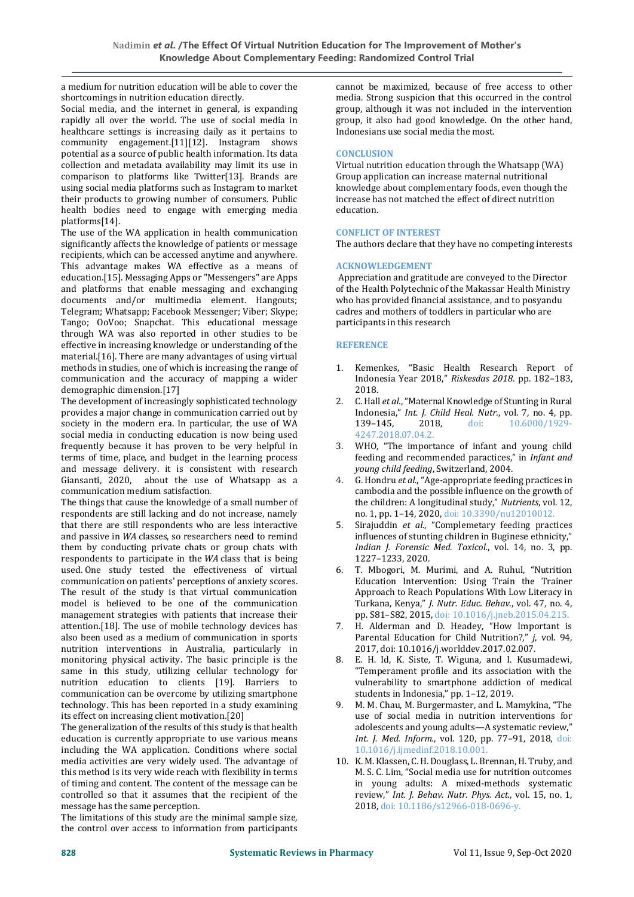a medium for nutrition education will be able to cover the shortcomings in nutrition education directly.

Social media, and the internet in general, is expanding rapidly all over the world. The use of social media in healthcare settings is increasing daily as it pertains to community engagement.[11][12]. Instagram shows potential as a source of public health information. Its data collection and metadata availability may limit its use in comparison to platforms like Twitter[13]. Brands are using social media platforms such as Instagram to market their products to growing number of consumers. Public health bodies need to engage with emerging media platforms[14].

The use of the WA application in health communication significantly affects the knowledge of patients or message recipients, which can be accessed anytime and anywhere. This advantage makes WA effective as a means of education.[15]. Messaging Apps or "Messengers" are Apps and platforms that enable messaging and exchanging documents and/or multimedia element. Hangouts; Telegram; Whatsapp; Facebook Messenger; Viber; Skype; Tango; OoVoo; Snapchat. This educational message through WA was also reported in other studies to be effective in increasing knowledge or understanding of the material.[16]. There are many advantages of using virtual methods in studies, one of which is increasing the range of communication and the accuracy of mapping a wider demographic dimension.[17]

The development of increasingly sophisticated technology provides a major change in communication carried out by society in the modern era. In particular, the use of WA social media in conducting education is now being used frequently because it has proven to be very helpful in terms of time, place, and budget in the learning process and message delivery. it is consistent with research Giansanti, 2020, about the use of Whatsapp as a communication medium satisfaction.

The things that cause the knowledge of a small number of respondents are still lacking and do not increase, namely that there are still respondents who are less interactive and passive in *WA* classes, so researchers need to remind them by conducting private chats or group chats with respondents to participate in the *WA* class that is being used. One study tested the effectiveness of virtual communication on patients' perceptions of anxiety scores. The result of the study is that virtual communication model is believed to be one of the communication management strategies with patients that increase their attention.[18]. The use of mobile technology devices has also been used as a medium of communication in sports nutrition interventions in Australia, particularly in monitoring physical activity. The basic principle is the same in this study, utilizing cellular technology for nutrition education to clients [19]. Barriers to communication can be overcome by utilizing smartphone technology. This has been reported in a study examining its effect on increasing client motivation.[20]

The generalization of the results of this study is that health education is currently appropriate to use various means including the WA application. Conditions where social media activities are very widely used. The advantage of this method is its very wide reach with flexibility in terms of timing and content. The content of the message can be controlled so that it assumes that the recipient of the message has the same perception.

The limitations of this study are the minimal sample size, the control over access to information from participants cannot be maximized, because of free access to other media. Strong suspicion that this occurred in the control group, although it was not included in the intervention group, it also had good knowledge. On the other hand, Indonesians use social media the most.

## **CONCLUSION**

Virtual nutrition education through the Whatsapp (WA) Group application can increase maternal nutritional knowledge about complementary foods, even though the increase has not matched the effect of direct nutrition education.

## **CONFLICT OF INTEREST**

The authors declare that they have no competing interests

## **ACKNOWLEDGEMENT**

Appreciation and gratitude are conveyed to the Director of the Health Polytechnic of the Makassar Health Ministry who has provided financial assistance, and to posyandu cadres and mothers of toddlers in particular who are participants in this research

## **REFERENCE**

- 1. Kemenkes, "Basic Health Research Report of Indonesia Year 2018," *Riskesdas 2018*. pp. 182–183, 2018.
- 2. C. Hall *et al.*, "Maternal Knowledge of Stunting in Rural Indonesia," *Int. J. Child Heal. Nutr.*, vol. 7, no. 4, pp. 139–145, 2018, doi: 10.6000/1929- 4247.2018.07.04.2.
- 3. WHO, "The importance of infant and young child feeding and recommended paractices," in *Infant and young child feeding*, Switzerland, 2004.
- 4. G. Hondru *et al.*, "Age-appropriate feeding practices in cambodia and the possible influence on the growth of the children: A longitudinal study," *Nutrients*, vol. 12, no. 1, pp. 1–14, 2020, doi: 10.3390/nu12010012.
- 5. Sirajuddin *et al.*, "Complemetary feeding practices influences of stunting children in Buginese ethnicity," *Indian J. Forensic Med. Toxicol.*, vol. 14, no. 3, pp. 1227–1233, 2020.
- 6. T. Mbogori, M. Murimi, and A. Ruhul, "Nutrition Education Intervention: Using Train the Trainer Approach to Reach Populations With Low Literacy in Turkana, Kenya," *J. Nutr. Educ. Behav.*, vol. 47, no. 4, pp. S81–S82, 2015, doi: 10.1016/j.jneb.2015.04.215.
- 7. H. Alderman and D. Headey, "How Important is Parental Education for Child Nutrition?," *j*, vol. 94, 2017, doi: 10.1016/j.worlddev.2017.02.007.
- 8. E. H. Id, K. Siste, T. Wiguna, and I. Kusumadewi, "Temperament profile and its association with the vulnerability to smartphone addiction of medical students in Indonesia," pp. 1–12, 2019.
- 9. M. M. Chau, M. Burgermaster, and L. Mamykina, "The use of social media in nutrition interventions for adolescents and young adults—A systematic review," *Int. J. Med. Inform.*, vol. 120, pp. 77–91, 2018, doi: 10.1016/j.ijmedinf.2018.10.001.
- 10. K. M. Klassen, C. H. Douglass, L. Brennan, H. Truby, and M. S. C. Lim, "Social media use for nutrition outcomes in young adults: A mixed-methods systematic review," *Int. J. Behav. Nutr. Phys. Act.*, vol. 15, no. 1, 2018, doi: 10.1186/s12966-018-0696-y.